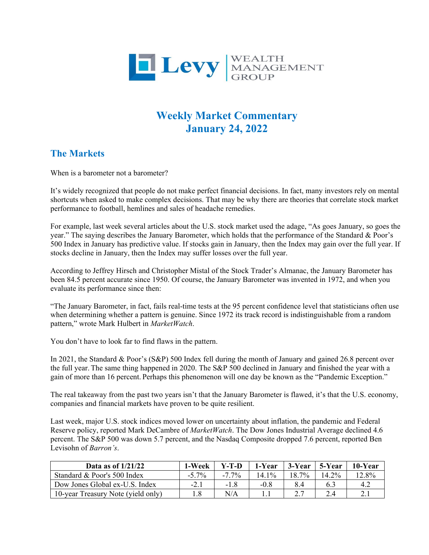

# **Weekly Market Commentary January 24, 2022**

## **The Markets**

When is a barometer not a barometer?

It's widely recognized that people do not make perfect financial decisions. In fact, many investors rely on mental shortcuts when asked to make complex decisions. That may be why there are theories that correlate stock market performance to football, hemlines and sales of headache remedies.

For example, last week several articles about the U.S. stock market used the adage, "As goes January, so goes the year." The saying describes the January Barometer, which holds that the performance of the Standard & Poor's 500 Index in January has predictive value. If stocks gain in January, then the Index may gain over the full year. If stocks decline in January, then the Index may suffer losses over the full year.

According to Jeffrey Hirsch and Christopher Mistal of the Stock Trader's Almanac, the January Barometer has been 84.5 percent accurate since 1950. Of course, the January Barometer was invented in 1972, and when you evaluate its performance since then:

"The January Barometer, in fact, fails real-time tests at the 95 percent confidence level that statisticians often use when determining whether a pattern is genuine. Since 1972 its track record is indistinguishable from a random pattern," wrote Mark Hulbert in *MarketWatch*.

You don't have to look far to find flaws in the pattern.

In 2021, the Standard & Poor's (S&P) 500 Index fell during the month of January and gained 26.8 percent over the full year. The same thing happened in 2020. The S&P 500 declined in January and finished the year with a gain of more than 16 percent. Perhaps this phenomenon will one day be known as the "Pandemic Exception."

The real takeaway from the past two years isn't that the January Barometer is flawed, it's that the U.S. economy, companies and financial markets have proven to be quite resilient.

Last week, major U.S. stock indices moved lower on uncertainty about inflation, the pandemic and Federal Reserve policy, reported Mark DeCambre of *MarketWatch*. The Dow Jones Industrial Average declined 4.6 percent. The S&P 500 was down 5.7 percent, and the Nasdaq Composite dropped 7.6 percent, reported Ben Levisohn of *Barron's*.

| Data as of $1/21/22$               | 1-Week   | $Y-T-D$  | 1-Year   | 3-Year | 5-Year | 10-Year  |
|------------------------------------|----------|----------|----------|--------|--------|----------|
| Standard & Poor's 500 Index        | $-5.7\%$ | $-7.7\%$ | $14.1\%$ | 18.7%  | 14.2%  | $12.8\%$ |
| Dow Jones Global ex-U.S. Index     | $-2.1$   | $-1.8$   | $-0.8$   | 8.4    | 6.3    | 4.2      |
| 10-year Treasury Note (yield only) |          | N/A      |          |        |        |          |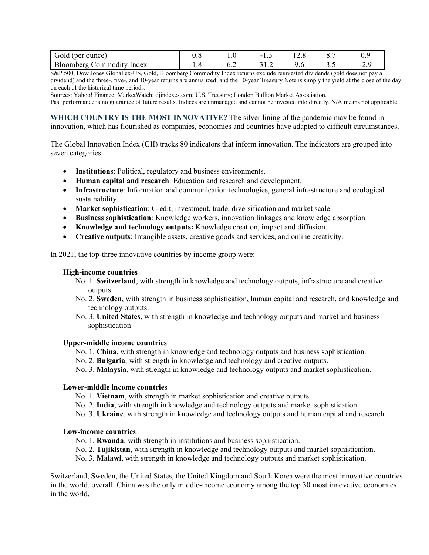| Gold<br>(per ounce)             | ⌒<br>v.o | 1.v | -<br>. . J             | $\sim$<br>14.0 |     | $\mathbf{U} \cdot$                  |
|---------------------------------|----------|-----|------------------------|----------------|-----|-------------------------------------|
| Bloomberg<br>Index<br>`ommod1tv | 1.U      | 0.2 | $\sim$ $\sim$<br>ے ۔ ب | 7.U            | ັ∙ັ | $\overline{\phantom{a}}$<br>ر و سکا |

S&P 500, Dow Jones Global ex-US, Gold, Bloomberg Commodity Index returns exclude reinvested dividends (gold does not pay a dividend) and the three-, five-, and 10-year returns are annualized; and the 10-year Treasury Note is simply the yield at the close of the day on each of the historical time periods.

Sources: Yahoo! Finance; MarketWatch; djindexes.com; U.S. Treasury; London Bullion Market Association.

Past performance is no guarantee of future results. Indices are unmanaged and cannot be invested into directly. N/A means not applicable.

**WHICH COUNTRY IS THE MOST INNOVATIVE?** The silver lining of the pandemic may be found in innovation, which has flourished as companies, economies and countries have adapted to difficult circumstances.

The Global Innovation Index (GII) tracks 80 indicators that inform innovation. The indicators are grouped into seven categories:

- **Institutions**: Political, regulatory and business environments.
- **Human capital and research**: Education and research and development.
- **Infrastructure**: Information and communication technologies, general infrastructure and ecological sustainability.
- **Market sophistication**: Credit, investment, trade, diversification and market scale.
- **Business sophistication**: Knowledge workers, innovation linkages and knowledge absorption.
- **Knowledge and technology outputs:** Knowledge creation, impact and diffusion.
- **Creative outputs**: Intangible assets, creative goods and services, and online creativity.

In 2021, the top-three innovative countries by income group were:

#### **High-income countries**

- No. 1. **Switzerland**, with strength in knowledge and technology outputs, infrastructure and creative outputs.
- No. 2. **Sweden**, with strength in business sophistication, human capital and research, and knowledge and technology outputs.
- No. 3. **United States**, with strength in knowledge and technology outputs and market and business sophistication

### **Upper-middle income countries**

- No. 1. **China**, with strength in knowledge and technology outputs and business sophistication.
- No. 2. **Bulgaria**, with strength in knowledge and technology and creative outputs.
- No. 3. **Malaysia**, with strength in knowledge and technology outputs and market sophistication.

### **Lower-middle income countries**

- No. 1. **Vietnam**, with strength in market sophistication and creative outputs.
- No. 2. **India**, with strength in knowledge and technology outputs and market sophistication.
- No. 3. **Ukraine**, with strength in knowledge and technology outputs and human capital and research.

### **Low-income countries**

- No. 1. **Rwanda**, with strength in institutions and business sophistication.
- No. 2. **Tajikistan**, with strength in knowledge and technology outputs and market sophistication.
- No. 3. **Malawi**, with strength in knowledge and technology outputs and market sophistication.

Switzerland, Sweden, the United States, the United Kingdom and South Korea were the most innovative countries in the world, overall. China was the only middle-income economy among the top 30 most innovative economies in the world.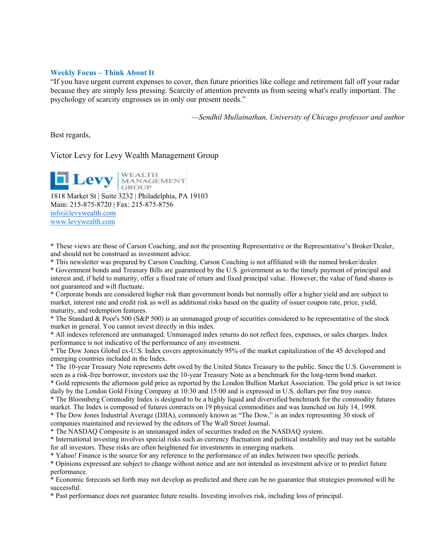### **Weekly Focus – Think About It**

"If you have urgent current expenses to cover, then future priorities like college and retirement fall off your radar because they are simply less pressing. Scarcity of attention prevents us from seeing what's really important. The psychology of scarcity engrosses us in only our present needs."

*—Sendhil Mullainathan, University of Chicago professor and author* 

Best regards,

Victor Levy for Levy Wealth Management Group

**Levy** MANAGEMENT

1818 Market St | Suite 3232 | Philadelphia, PA 19103 Main: 215-875-8720 | Fax: 215-875-8756 [info@levywealth.com](mailto:info@levywealth.com) [www.levywealth.com](http://www.levywealth.com/)

\* These views are those of Carson Coaching, and not the presenting Representative or the Representative's Broker/Dealer, and should not be construed as investment advice.

\* This newsletter was prepared by Carson Coaching. Carson Coaching is not affiliated with the named broker/dealer.

\* Government bonds and Treasury Bills are guaranteed by the U.S. government as to the timely payment of principal and interest and, if held to maturity, offer a fixed rate of return and fixed principal value. However, the value of fund shares is not guaranteed and will fluctuate.

\* Corporate bonds are considered higher risk than government bonds but normally offer a higher yield and are subject to market, interest rate and credit risk as well as additional risks based on the quality of issuer coupon rate, price, yield, maturity, and redemption features.

\* The Standard & Poor's 500 (S&P 500) is an unmanaged group of securities considered to be representative of the stock market in general. You cannot invest directly in this index.

\* All indexes referenced are unmanaged. Unmanaged index returns do not reflect fees, expenses, or sales charges. Index performance is not indicative of the performance of any investment.

\* The Dow Jones Global ex-U.S. Index covers approximately 95% of the market capitalization of the 45 developed and emerging countries included in the Index.

\* The 10-year Treasury Note represents debt owed by the United States Treasury to the public. Since the U.S. Government is seen as a risk-free borrower, investors use the 10-year Treasury Note as a benchmark for the long-term bond market.

\* Gold represents the afternoon gold price as reported by the London Bullion Market Association. The gold price is set twice daily by the London Gold Fixing Company at 10:30 and 15:00 and is expressed in U.S. dollars per fine troy ounce.

\* The Bloomberg Commodity Index is designed to be a highly liquid and diversified benchmark for the commodity futures market. The Index is composed of futures contracts on 19 physical commodities and was launched on July 14, 1998.

\* The Dow Jones Industrial Average (DJIA), commonly known as "The Dow," is an index representing 30 stock of

companies maintained and reviewed by the editors of The Wall Street Journal.

\* The NASDAQ Composite is an unmanaged index of securities traded on the NASDAQ system.

\* International investing involves special risks such as currency fluctuation and political instability and may not be suitable for all investors. These risks are often heightened for investments in emerging markets.

\* Yahoo! Finance is the source for any reference to the performance of an index between two specific periods.

\* Opinions expressed are subject to change without notice and are not intended as investment advice or to predict future performance.

\* Economic forecasts set forth may not develop as predicted and there can be no guarantee that strategies promoted will be successful.

\* Past performance does not guarantee future results. Investing involves risk, including loss of principal.